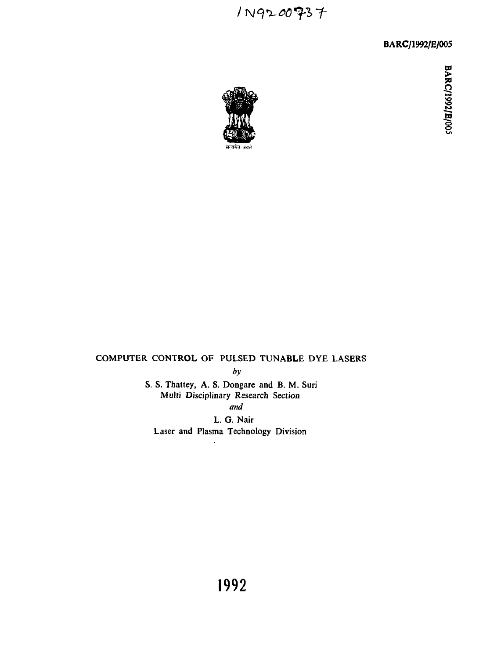1N9200937

BARC/1992/E/005



# COMPUTER CONTROL OF PULSED TUNABLE DYE LASERS

by

S. S. Thattey, A. S. Dongare and B. M. Suri Multi Disciplinary Research Section *and*

L. G. Nair Laser and Plasma Technology Division

**I O** /E/005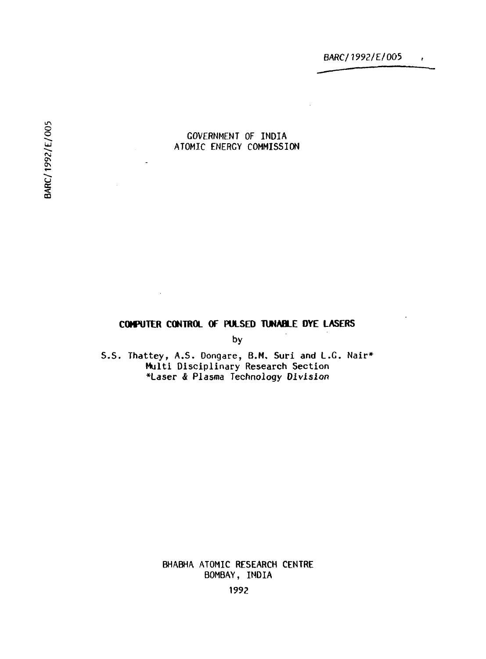### GOVERNMENT OF INDIA ATOMIC ENERGY COMMISSION

## **COMPUTER CONTROL OF PULSED TUNABLE DYE LASERS**

by

S.S. Thattey, A.S. Dongare, B.M, Suri and L.G. Nair\* Multi Disciplinary Research Section •Laser & Plasma Technology Division

> BHABHA ATOMIC RESEARCH CENTRE BOMBAY, INDIA

BARC/1992/E/005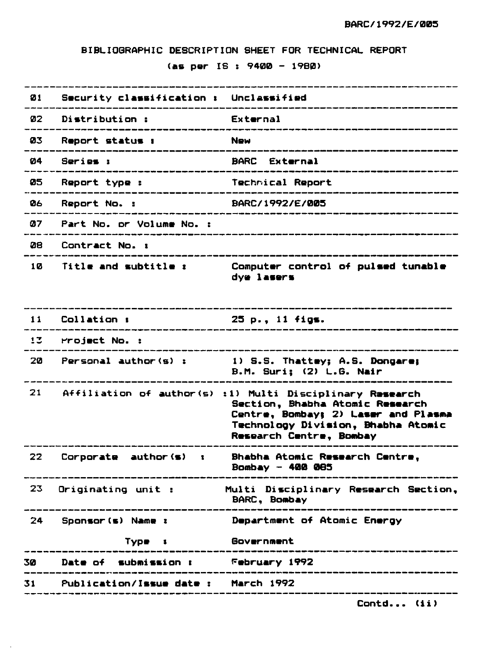**BIBLIOGRAPHIC DESCRIPTION SHEET FOR TECHNICAL REPORT**

### **(as per IS t 9400 - 19B0)**

| Ø1  | Security classification $\mathbf r$                       | Unclassified                                                                                                                                                               |
|-----|-----------------------------------------------------------|----------------------------------------------------------------------------------------------------------------------------------------------------------------------------|
| 02. | Di <b>s</b> tribution :                                   | External                                                                                                                                                                   |
| 03  | <b>Report status :</b><br>.______________________________ | <b>New</b><br>____________________________                                                                                                                                 |
| 04  | Series :<br>_______________________                       | <b>BARC</b> External                                                                                                                                                       |
| 05. | Report type :<br>----------------------                   | Technical Report<br>--------------                                                                                                                                         |
| 06. | Report No. :                                              | BARC/1992/E/005                                                                                                                                                            |
| 07  | Part No. or Volume No. :                                  |                                                                                                                                                                            |
| 28  | Contract No. :                                            | _______________________                                                                                                                                                    |
| 10  | Title and subtitle :                                      | Computer control of pulsed tunable<br>dye lasers                                                                                                                           |
| 11  | Collation :                                               | ______________<br>25 p., 11 figs.<br>_______________________                                                                                                               |
|     | 13 Project No. :                                          |                                                                                                                                                                            |
| 20  | Personal author(s):                                       | 1) S.S. Thattey; A.S. Dongare;<br>B.M. Suri; (2) L.G. Nair                                                                                                                 |
| 21  | Affiliation of author(s)                                  | :1) Multi Disciplinary Research<br>Section, Bhabha Atomic Research<br>Centre, Bombay; 2) Laser and Plasma<br>Technology Division, Bhabha Atomic<br>Research Centre, Bombay |
| 22. | Corporate author(s)<br>$\mathbf{R}$                       | Bhabha Atomic Research Centre.<br>Bombay - 400 085                                                                                                                         |
| 23. | Originating unit :                                        | Multi Disciplinary Research Section,<br>BARC, Bombay                                                                                                                       |
| 24  | Sponsor(s) Name :                                         | Department of Atomic Energy                                                                                                                                                |
|     | Type:                                                     | Government                                                                                                                                                                 |
| 30  | Date of submission:                                       | February 1992                                                                                                                                                              |
| 31  | Publication/Issue date:                                   | <b>March 1992</b><br>______________________                                                                                                                                |
|     |                                                           |                                                                                                                                                                            |

 $\mathcal{L}$ 

**Contd... (ii)**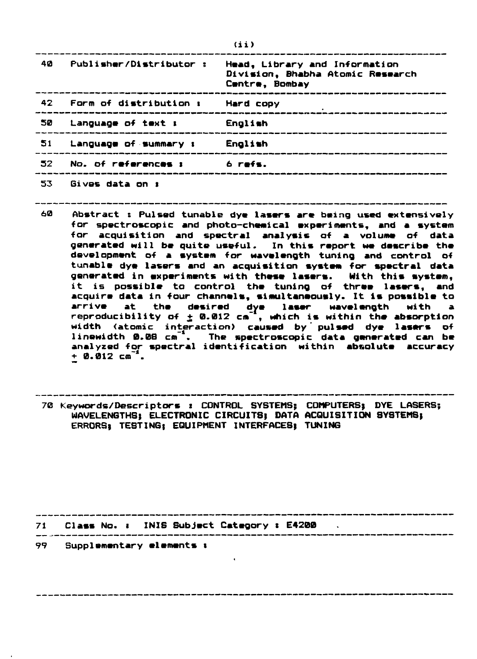| -40 | Publisher/Distributor :   | Head, Library and Information<br>Division, Bhabha Atomic Research<br>Centre, Bombay |
|-----|---------------------------|-------------------------------------------------------------------------------------|
|     | 42 Form of distribution : | Hard copy                                                                           |
| -50 | Language of text <b>:</b> | English                                                                             |
| 51  | Language of summary :     | English                                                                             |
| 52. | No. of references :       | ó refs.                                                                             |
| 53  | Gives data on 1           |                                                                                     |

- **60 Abstract : Pulsed tunable dye lasers are being used extensively for spectroscopic and photo-chemical experiments, and a system for acquisition and spectral analysis of a volume of data generated will be quite useful. In this report we describe the development of a system for wavelength tuning and control of tunable dye lasers and an acquisition system, for spectral data generated in experiments with these lasers. With this system, it is possible to control the tuning of three lasers, and acquire data in four channels, simultaneously. It is possible to arrive at the desired dye laser wavelength with a reproducibility of + 0.012 cm" , which is within the absorption width (atomic interaction) caused by' pulsed dye lasers of linewidth 0.08 cm" . The spectroscopic data generated can be analyzed for spectral identification within absolute accuracy + 0.012 cm"<sup>1</sup>.**
- **70 Keywords/Descriptors : CONTROL SYSTEMS; COMPUTERS) DYE LASERS; WAVELENGTHS} ELECTRONIC CIRCUITS) DATA ACQUISITION SYSTEMS) ERRORS; TESTING) EQUIPMENT INTERFACES) TUNING**

**71 Class No. i INIS Subject Category t E4200**

**99 Supplementary elements t**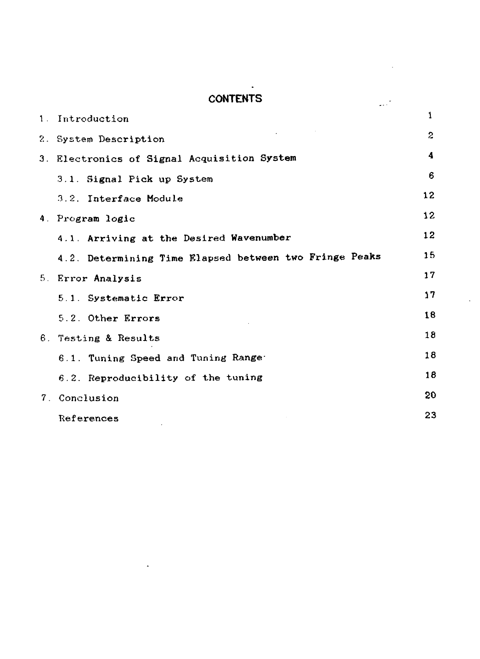## **CONTENTS**

÷.

 $\mathbb{R}^2$ 

| 1. Introduction                                        | 1            |
|--------------------------------------------------------|--------------|
| 2. System Description                                  | $\mathbf{2}$ |
| 3. Electronics of Signal Acquisition System            | 4            |
| 3.1. Signal Pick up System                             | 6            |
| 3.2. Interface Module                                  | 12           |
| 4. Program logic                                       | 12           |
| 4.1. Arriving at the Desired Wavenumber                | 12           |
| 4.2. Determining Time Elapsed between two Fringe Peaks | 15           |
| 5. Error Analysis                                      | 17           |
| 5.1. Systematic Error                                  | 17           |
| 5.2. Other Errors                                      | 18           |
| 6. Testing & Results                                   | 18           |
| 6.1. Tuning Speed and Tuning Range                     | 18           |
| 6.2. Reproducibility of the tuning                     | 18           |
| 7. Conclusion                                          | 20           |
| References                                             | 23           |

 $\lambda$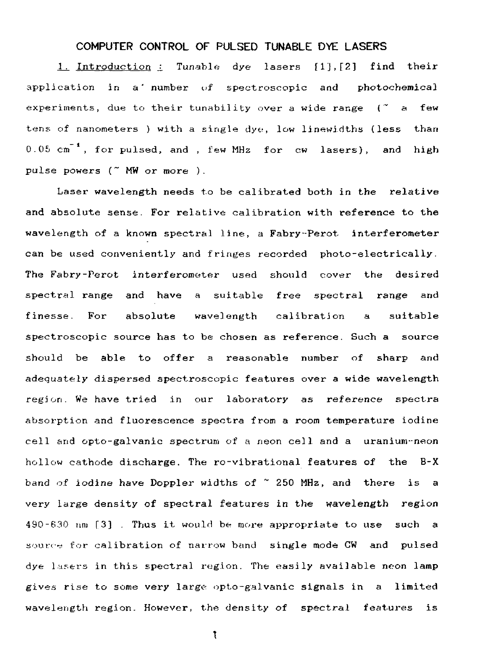## COMPUTER CONTROL OF PULSED TUNABLE DYE LASERS

1. Introduction ± Tunable dye lasers flj,[2] find their application in a' number uf spectroscopic and photochemical experiments, due to their tunability over a wide range  $($   $<$   $a$  few tens of nanometers ) with a single dye;, low linewidths (less than  $0.05 \text{ cm}^{-1}$ , for pulsed, and , few MHz for  $cw$  lasers), and high pulse powers (~ MW or more ).

Laser wavelength needs to be calibrated both in the relative and absolute sense. For relative calibration with reference to the wavelength of a known spectral line, a Fabry-Perot interferometer can be used conveniently and fringes recorded photo-electrically. The Fabry-Perot interferometer used should cover the desired spectral range and have a suitable free spectral range and finesse. For absolute wavelength calibration a suitable spectroscopic source has to be chosen as reference. Such a source should be able to offer a reasonable number of sharp and adequately dispersed spectroscopic features over a wide wavelength region. We have tried in our laboratory as reference spectra absorption and fluorescence spectra from a room temperature iodine cell and opto-galvanic spectrum of a neon cell and a uranium--neon hollow cathode discharge. The ro-vibrational features of the B-X band of iodine have Doppler widths of ~ 250 MHz, and there is a very large density of spectral features in the wavelength region 490-630 nni [3] . Thus it would be more appropriate to use such a source for calibration of narrow band single mode CW and pulsed dye lasers in this spectral region. The easily available neon lamp gives rise to some very large- opto-galvanic signals in a limited wavelength region. However, the density of spectral features is

 $\mathfrak{r}$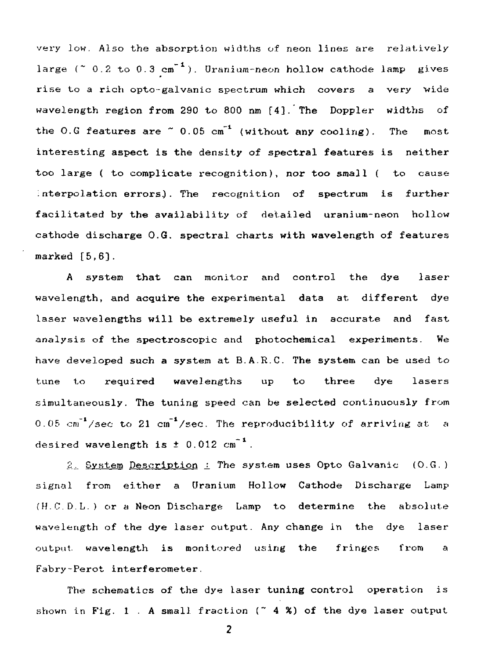very low. Also the absorption widths of neon lines are relatively large ( $\degree$  0.2 to 0.3 cm<sup>-1</sup>). Uranium-neon hollow cathode lamp gives rise to a rich opto-galvanic spectrum which covers a very wide wavelength region from 290 to 800 nm [4]. The Doppler widths of the O.G features are  $\degree$  0.05 cm<sup>-1</sup> (without any cooling). The most interesting aspect is the density of spectral features is neither too large ( to complicate recognition), nor too small ( to cause interpolation errors.). The recognition of spectrum is further facilitated by the availability of detailed uranium-neon hollow cathode discharge O.G. spectral charts with wavelength of features marked [5,6].

A system that can monitor and control the dye laser wavelength, and acquire the experimental data at different dye laser wavelengths will be extremely useful in accurate and fast analysis of the spectroscopic and photochemical experiments. We have developed such a system at B.A.R.C. The system can be used to tune to required wavelengths up to three dye lasers simultaneously. The tuning speed can be selected continuously from 0.05  $cm^{-1}/sec$  to 21  $cm^{-1}/sec$ . The reproducibility of arriving at a desired wavelength is  $\pm$  0.012 cm<sup>-1</sup>.

2. System Description : The system uses Opto Galvanic (O.G.) signal from either a Uranium Hollow Cathode Discharge Lamp (H.C.D.L.) or a Neon Discharge Lamp to determine the absolute wavelength of the dye laser output. Any change in the dye laser output wavelength is monitored using the fringes from a Fabry-Perot interferometer.

The schematics of the dye laser tuning control operation is shown in Fig. 1 . A small fraction  $($   $\sim$  4 %) of the dye laser output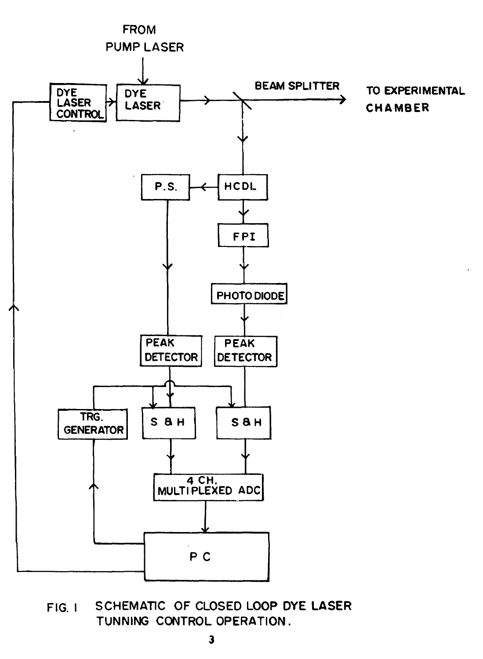

**FIG. I SCHEMATIC OF CLOSED LOOP DYE LASER TUNNING CONTROL OPERATION.**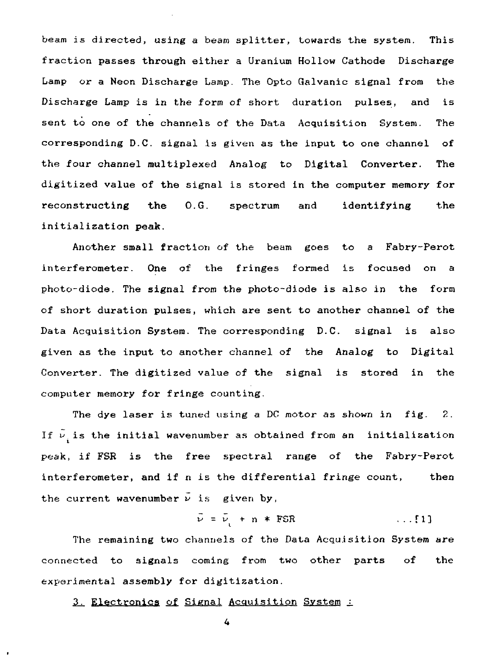beam is directed, using a beam splitter, towards the system. This fraction passes through either a Uranium Hollow Cathode Discharge Lamp or a Neon Discharge Lamp. The Opto Galvanic signal from the Discharge Lamp is in the form of short duration pulses, and is sent to one of the channels of the Data Acquisition System. The corresponding D.C. signal is given as the input to one channel of the four channel multiplexed Analog to Digital Converter. The digitized value of the signal is stored in the computer memory for reconstructing the O.G. spectrum and identifying the initialization peak.

Another small fraction of the beam goes to a Fabry-Perot interferometer. One of the fringes formed is focused on a photo-diode. The signal from the photo-diode is also in the form of short duration pulses, which are sent to another channel of the Data Acquisition System. The corresponding D.C. signal is also given as the input to another channel of the Analog to Digital Converter. The digitized value of the signal is stored in the computer memory for fringe counting.

The dye laser is tuned using a DC motor as shown in fig. 2. If  $\tilde{\nu}_1$  is the initial wavenumber as obtained from an initialization peak, if FSR is the free spectral range of the Fabry-Perot interferometer, and if n is the differential fringe count, then the current wavenumber  $\overline{\nu}$  is given by,

$$
\vec{\nu} = \vec{\nu} + n * FSR \qquad \qquad \dots [1]
$$

The remaining two channels of the Data Acquisition System are connected to signals coming from two other parts of the experimental assembly for digitization.

3. Electronics of Signal Acquisition System :

 $\overline{4}$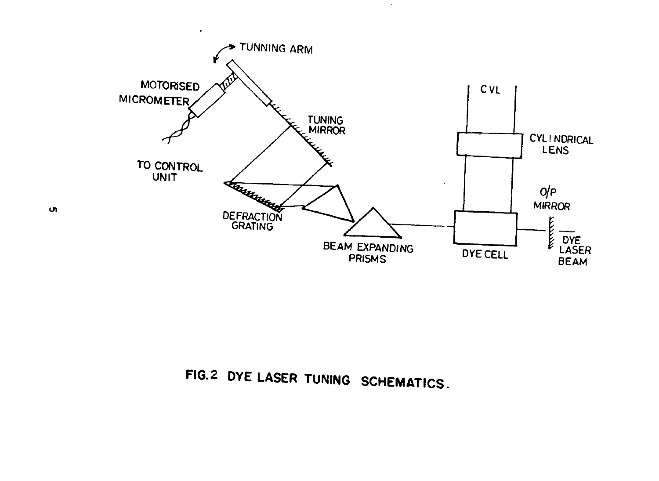

 $\sim$ 

**FIG.2 DYE LASER TUNING SCHEMATICS.**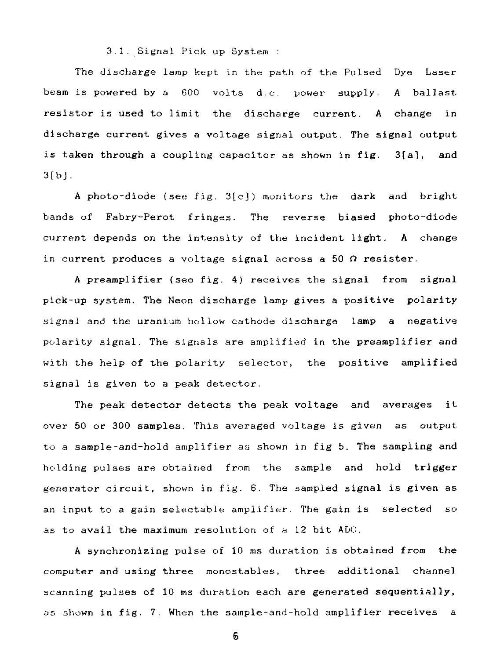3.1. Signal Pick up System :

The discharge lamp kept in the path of the Pulsed Dye Laser beam is powered by a 600 volts d.c. power supply. A ballast resistor is used to limit the discharge current. A change in discharge current gives a voltage signal output. The signal output is taken through a coupling capacitor as shown in fig. 3[a], and  $3[b]$ .

A photo-diode (see fig. 3[c] ) monitors the dark and bright bands of Fabry-Perot fringes. The reverse biased photo-diode current depends on the intensity of the incident light. A change in current produces a voltage signal across a 50  $\Omega$  resister.

A preamplifier (see fig. 4) receives the signal from signal pick-up system. The Neon discharge lamp gives a positive polarity signal and the uranium hollow cathode discharge lamp a negative polarity signal. The signals are amplified in the preamplifier and with the help of the polarity selector, the positive amplified signal is given to a peak detector.

The peak detector detects the peak voltage and averages it over 50 or 300 samples. This averaged voltage is given as output to a sample-and-hold amplifier as shown in fig 5. The sampling and holding pulses are obtained from the sample and hold trigger generator circuit, shown in fig. 6. The sampled signal is given as an input to a gain selectable amplifier. The gain is selected so as to avail the maximum resolution of a 12 bit ADC.

A synchronizing pulse of 10 ms duration is obtained from the computer and using three monostables, three additional channel scanning pulses of 10 ms duration each are generated sequentially, as shown in fig. 7. When the sample-and-hold amplifier receives a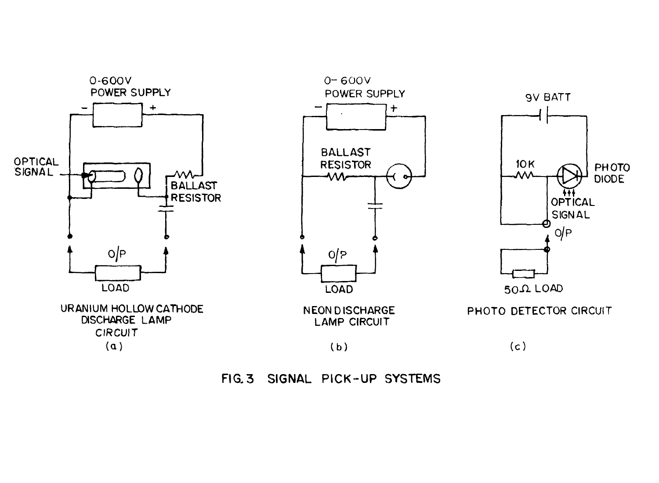

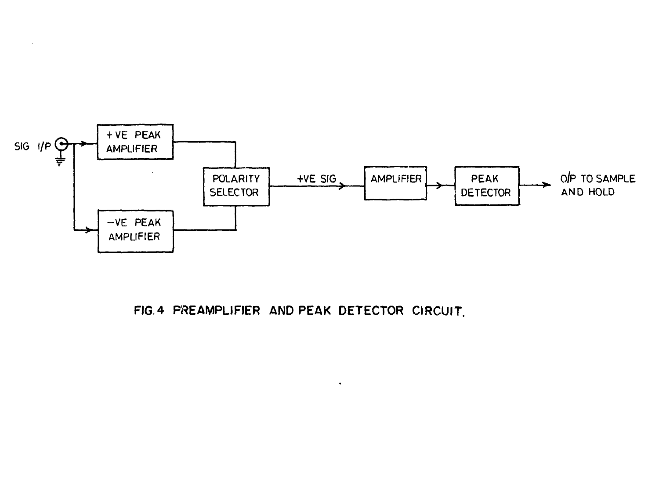

FIG. 4 PREAMPLIFIER AND PEAK DETECTOR CIRCUIT.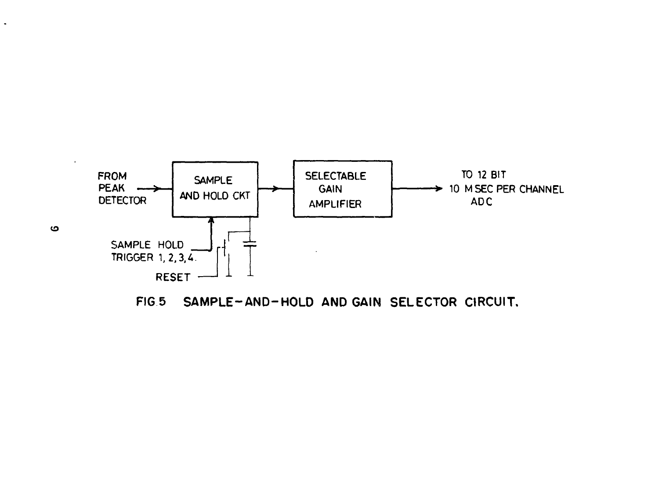

**FIG 5 SAMPLE-AND-HOLD AND GAIN SELECTOR CIRCUIT.**

 $\blacksquare$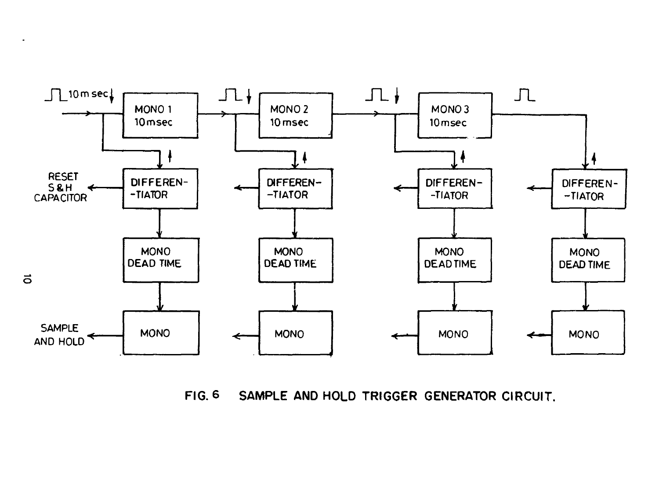

**FIG. 6 SAMPLE AND HOLD TRIGGER GENERATOR CIRCUIT.**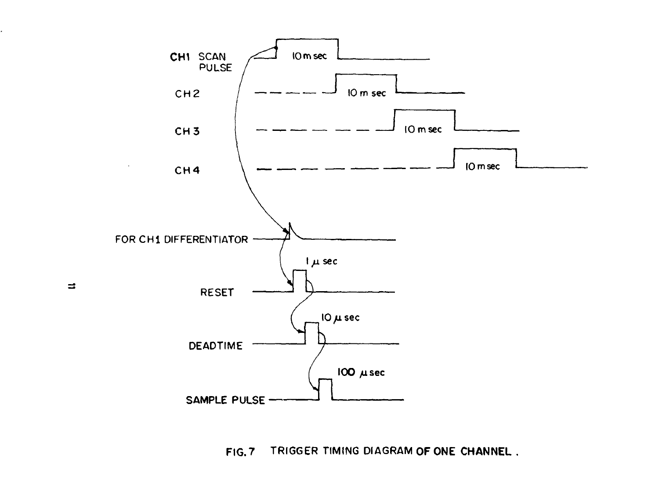

FIG. 7 TRIGGER TIMING DIAGRAM **OF ONE CHANNEL**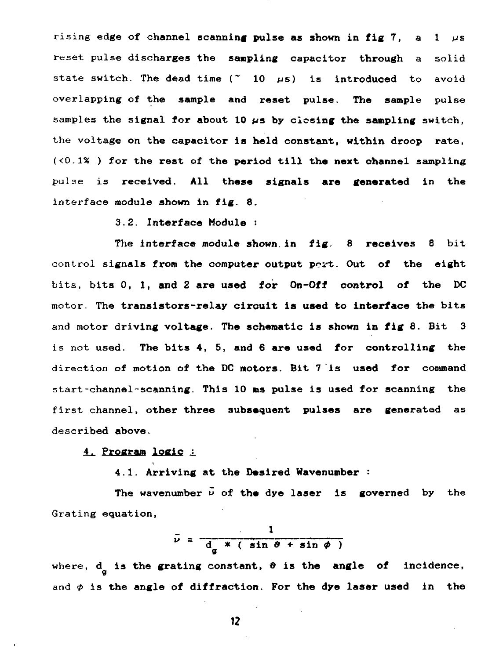rising edge of channel scanning pulse as shown in fig  $7$ , a 1  $\mu$ s reset pulse discharges the **sampling** capacitor **through** a solid state switch. The dead time  $(2 \t 10 \t \mu s)$  is introduced to avoid overlapping of **the sample and reset pulse. The sample** pulse samples the signal for about 10  $\mu$ s by closing the sampling switch, the voltage on the **capacitor is held constant, within droop rate, (<0.1% ) for the rest of the period till the next channel sampling** pulse is **received. All these signals are generated** in **the** interface module **shown in fig. 8.**

**3.2. Interface Module :**

**The interface module shown.in fig. 8 receives 8** bit control **signals from the computer output port. Out of the eight** bits, bits 0, 1, **and 2 are used for On-Off control of the DC** motor. The **transistors-relay circuit is used to interface the bits** and motor **driving voltage. The schematic is shown in** fig **8. Bit 3 is** not **used. The bits 4, 5, and 6 are used for controlling the** direction of motion **of the DC motors. Bit 7 is used for** command start-channel-scanning. **This** 10 **ms** pulse **is used for scanning** the first channel, **other three subsequent pulses are generated** as described **above.**

**4. Program logic j.**

**4.1. Arriving at the Desired Wavenumber :**

**The wavenumber v of the dye laser is governed** by the Grating equation,

$$
\bar{\nu} = \frac{1}{d_g * (sin \theta + sin \phi)}
$$

where, **d** is the grating constant,  $\theta$  is the angle of incidence, P. and  $\phi$  is the angle of diffraction. For the dye laser used in the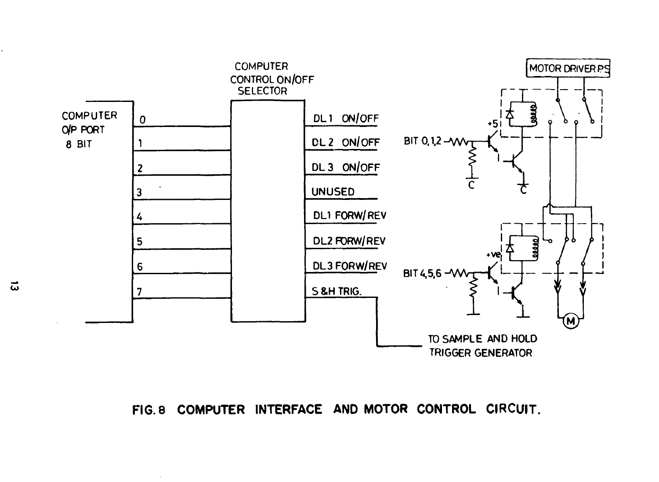

**FIG. 8 COMPUTER INTERFACE AND MOTOR CONTROL CIRCUIT.**

ದ

 $\sim$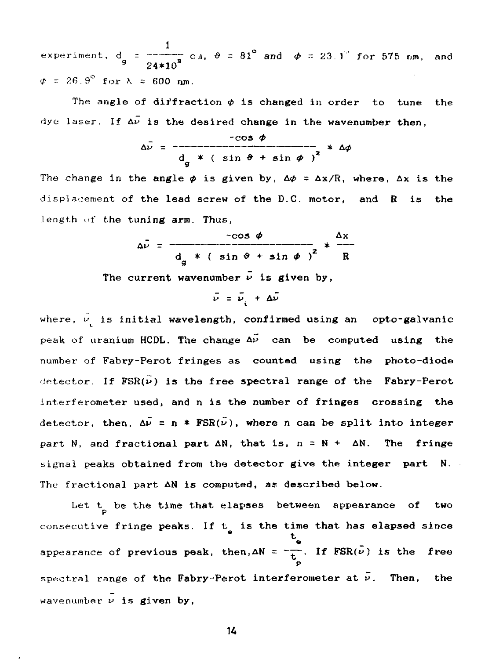1 experiment,  $d = \frac{1}{2}$  =  $\frac{d}{d}$  c<sub>3</sub>,  $\theta = 81^\circ$  and  $\phi = 23.3^\circ$  for 575 nm, and <sup>9</sup> **24\*10**  $\phi = 26.9^\circ$  for  $\lambda = 600$  nm.

The angle of diffraction  $\phi$  is changed in order to tune the dye laser. If  $\Delta \bar{\nu}$  is the desired change in the wavenumber then,

$$
\Delta \overline{\nu} = \frac{-\cos \phi}{d_{\alpha} * ( \sin \theta + \sin \phi )^{2}} * \Delta \phi
$$

The change in the angle  $\phi$  is given by,  $\Delta \phi = \Delta x / R$ , where,  $\Delta x$  is the

$$
\Delta \bar{\nu} = \frac{-\cos \phi}{d_g * ( \sin \theta + \sin \phi )^2} * \frac{\Delta x}{R}
$$

The current wavenumber  $\bar{\nu}$  is given by,

$$
\bar{\nu} = \bar{\nu}_i + \Delta \bar{\nu}
$$

where,  $\vec{v}$  is initial wavelength, confirmed using an opto-galvanic peak of uranium HCDL. The change  $\Delta \tilde{\nu}$  can be computed using the number of Fabry-Perot fringes as counted using the photo-diode detector. If  $FSR(\nu)$  is the free spectral range of the **Fabry-Perot** interferometer used, and n is the number of fringes crossing the detector, then,  $\Delta \bar{\nu} = \bar{n} * FSR(\bar{\nu})$ , where n can be split into integer part N, and fractional part  $\Delta N$ , that is,  $n = N + \Delta N$ . The fringe signal peaks obtained from the detector give the integer part N. The fractional part AN is computed, as described below.

Let t<sub>p</sub> be the time that elapses between appearance of two Let t **be the time that elapses between appearance of two** p consecutive **fringe peaks. If t is the time that has elapsed since**  $hen, \Delta N = \pm \frac{1}{\pm \Delta}$ o spectral range of the Fabry-Perot interferometer at  $\bar{\nu}$ . Then, the wavenumber  $\nu$  is given by,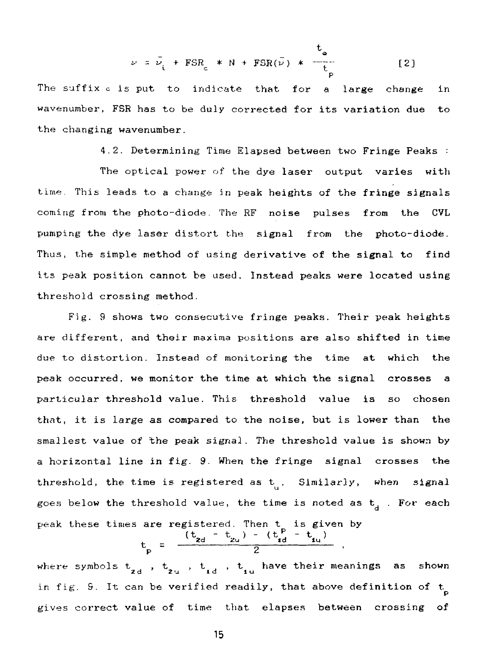$$
\bar{\nu} = \bar{\nu}_i + FSR_c * N + FSR(\bar{\nu}) * \frac{\tau_c}{\tau_c}
$$
 [2]

p The suffix c is put to indicate that for a large change in wavenumber, FSR has to be duly corrected for its variation due to the changing wavenumber.

4.2. Determining Time Elapsed between two Fringe Peaks :

The optical power of the dye laser output varies with time. This leads to a change in peak heights of the fringe signals coming from the photo-diode. The RF noise pulses from the CVL pumping the dye laser distort the signal from the photo-diode. Thus, the simple method of using derivative of the signal to find its peak position cannot be used. Instead peaks were located using threshold crossing method.

Fig. 9 shows two consecutive fringe peaks. Their peak heights are different, and their maxima positions are also shifted in time due to distortion. Instead of monitoring the time at which the peak occurred, we monitor the time at which the signal crosses a particular threshold value. This threshold value is so chosen that, it is large as compared to the noise, but is lower than the smallest value of the peak signal. The threshold value is shown by a horizontal line in fig. 9. When the fringe signal crosses the threshold, the time is registered as  $t_{\mu}$ . Similarly, when signal goes below the threshold value, the time is noted as  $t_a$ . For each

peak these times are registered. Then t is given by<br>  $t_{g} = \frac{(t_{gd} - t_{2u}) - (t_{gd}^P - t_{1u})}{2}$ ,

where symbols  $t_{i,j}$  ,  $t_{i,j}$  ,  $t_{i,j}$  ,  $t_{i,j}$  have their meanings as shown 20 u id lui 10 u id lui 10 u id lui 10 u id lui 10 u id lui 10 u id lui 10 u id lui 10 u id lui 10 u id lui 10<br>20 u id lui 10 u id lui 10 u id lui 10 u id lui 10 u id lui 10 u id lui 10 u id lui 10 u id lui 10 u id lui 10 in fig. 9. It can be verified readily, that above definition of  $t<sub>n</sub>$ p gives correct value of time that elapses between crossing of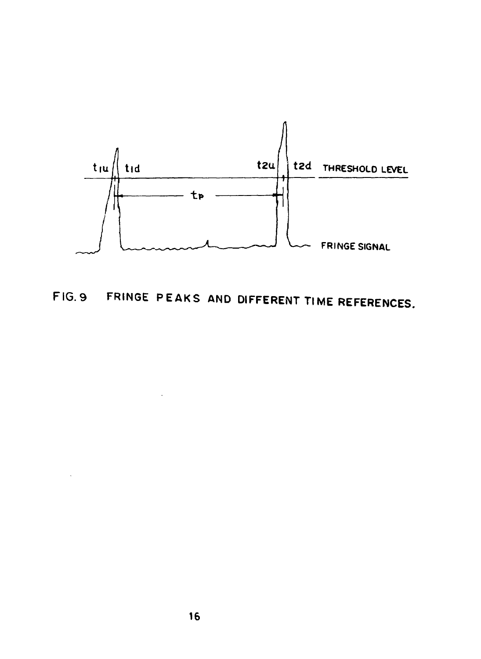

FIG. 9 FRINGE PEAKS AND DIFFERENT TIME REFERENCES.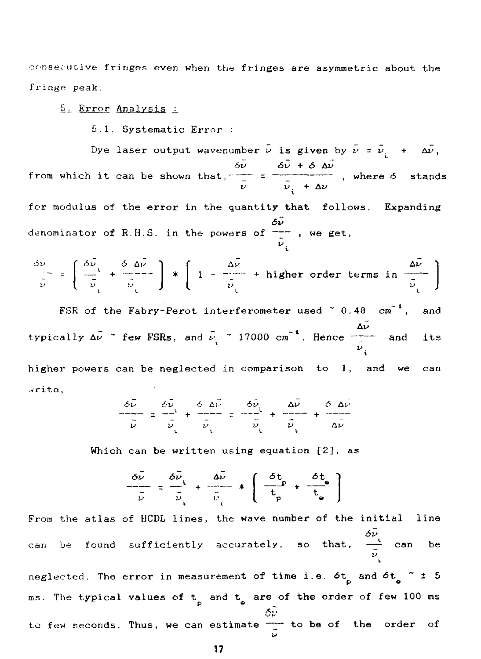consecutive fringes even when the fringes are asymmetric about the fringe peak.

#### 5. Error Analysis :

5.1. Systematic Error :

Dye laser output wavenumber  $\bar{\nu}$  is given by  $\bar{\nu} = \bar{\nu} + \Delta \bar{\nu}$ , 6v &i> + S Av from which it can be shown that,  $-\frac{1}{2}$  =  $-\frac{1}{2}$  , where  $\delta$  stands  $\nu$   $\nu$  +  $\Delta \nu$ for modulus of the error in the quantity that follows. Expanding denominator of R.H.S. in the powers of  $\frac{\delta \tilde{\nu}}{\tilde{\nu}}$ , we get,

$$
\frac{\delta \bar{\nu}}{\bar{\nu}} = \left( \frac{\delta \bar{\nu}}{\bar{\nu}}_1 + \frac{\delta \bar{\omega}}{\bar{\nu}}_1 \right) * \left( 1 - \frac{\Delta \bar{\nu}}{\bar{\nu}}_1 + \text{higher order terms in } \frac{\Delta \bar{\nu}}{\bar{\nu}}_1 \right)
$$

FSR of the Fabry-Perot interferometer used  $\degree$  0.48  $\text{cm}^{-1}$ , and typically Av ~ few FSRs, and t- ~ 17000 cm'<sup>1</sup>. Hence ~ — and its v higher powers can be neglected in co<mark>mparison to 1</mark>, and we can

,vrite,

$$
\frac{\delta \vec{v}}{\vec{v}} = \frac{\delta \vec{v}}{\vec{v}} + \frac{\delta \Delta \vec{v}}{\vec{v}} = \frac{\delta \vec{v}}{\vec{v}} + \frac{\Delta \vec{v}}{\vec{v}} = \frac{\Delta \vec{v}}{\vec{v}} + \frac{\Delta \vec{v}}{\vec{v}} = \frac{\delta \Delta \vec{v}}{\vec{v}}
$$

Which can be written using equation  $[2]$ , as

$$
\frac{\delta \bar{\nu}}{\bar{\nu}} = \frac{\delta \bar{\nu}}{\bar{\nu}} + \frac{\Delta \bar{\nu}}{\bar{\nu}} + \left( \frac{\delta t}{t_p} + \frac{\delta t_e}{t_e} \right)
$$

From the atlas of HCDL lines, the wave number of the initial line can be found sufficiently accurately, so that,  $-\frac{1}{2}$  can be v neglected. The <mark>error in measurement of time i.e.  $\delta t$  and  $\delta t$   $\sim$   $^{\star}$  ± 5</mark> ms. The typical values of  $t_{\text{p}}$  and  $t_{\text{a}}$  are of the order of few 100 ms  $\delta \tilde{v}$ to few seconds. Thus, we can estimate  $-\frac{1}{2}$  to be of the order of u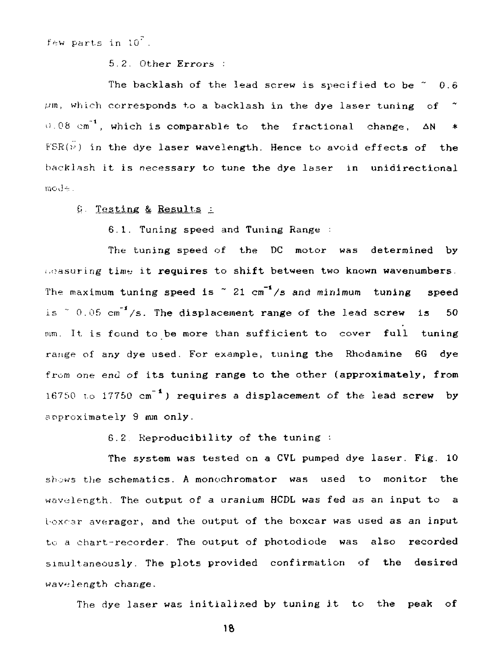few parts in  $10^7$ .

5.2. Other Errors :

The backlash of the lead screw is specified to be  $\degree$  0.6  $\mu$ m, which corresponds to a backlash in the dye laser tuning of  $\tilde{ }$  $i=0.08$  cm<sup>-1</sup>, which is comparable to the fractional change,  $\Delta N = *$  $FSR(\nu)$  in the dye laser wavelength. Hence to avoid effects of the backlash it is necessary to tune the dye laser in unidirectional  $mode$ .

I). Testing & Results j.

6.1. Tuning speed and Tuning Range :

The tuning speed of the DC motor was determined by i.nasuring time it requires to shift between two known wavenumbers. The maximum tuning speed is  $\degree$  21 cm<sup>-1</sup>/s and minimum tuning speed is  $\degree$  0.05 cm<sup>-f</sup>/s. The displacement range of the lead screw is 50 mm. It is found to be more than sufficient to cover full tuning range of any dye used. For example, tuning the Rhodamine 6G dye from one end of its tuning range to the other (approximately, from 16750 to 17750 cm<sup>-1</sup>) requires a displacement of the lead screw by approximately 9 mm only.

6.2. Reproducibility of the tuning :

The system was tested on a CVL pumped dye laser. Fig. 10 shows the schematics. A monochromator was used to monitor the wavelength. The output of a uranium HCDL was fed as an input to a toxcar averager, and the output of the boxcar was used as an input to a chart-recorder. The output of photodiode was also recorded simultaneously. The plots provided confirmation of the desired wavelength change.

The dye laser was initialised by tuning it to the peak of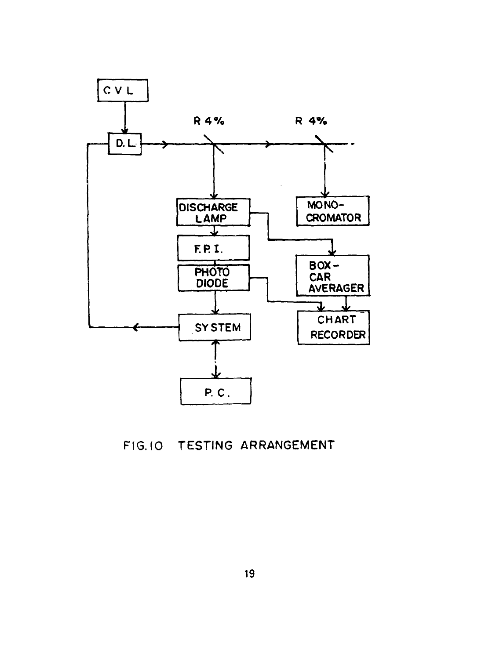

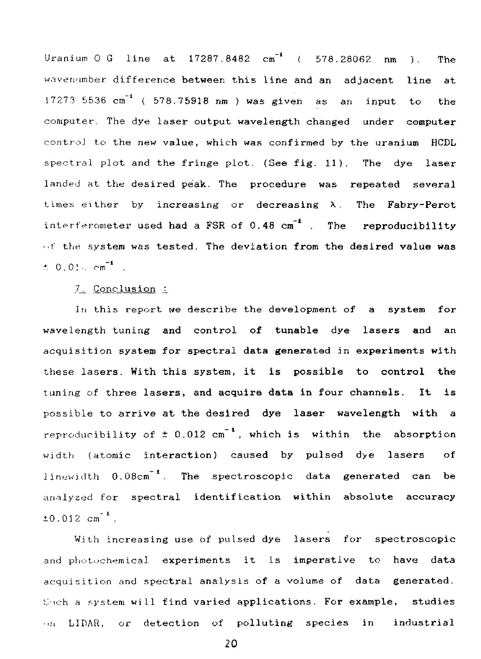Uranium 0 G line **at 17287.8482 cm"'** ( **578.28062 nm** ). **The** wavenuraber **difference between this line and an adjacent line at** 17273.5536 cm"<sup>1</sup> ( **578.75918 nm ) was given as an input** to **the** computer. The **dye laser output wavelength changed under computer** controJ to the **new value, which was confirmed by the uranium HCDL** spectral plot **and the fringe** plot. **(See fig. 11). The dye laser** landed at the **desired peak. The procedure was repeated several** times either by **increasing or decreasing \. The Fabry-Perot interferometer used had a FSR of 0.48 cm" . The reproducibility ••f** the **system was tested. The deviation from the desired value was**  $\pm$  0.01.  $cm^{-1}$  .

 $7$ . Conclusion :

**In** this report **we describe the development of a system for wavelength tuning and control of tunable dye lasers and an acquisition system for spectral data generated in experiments with these lasers. With this system, it is possible to control the tuning of three lasers, and acquire data in four channels. It is** possible **to arrive at the desired dye laser wavelength with a** reproducibility of  $\pm$  0.012 cm<sup>-1</sup>, which is within the absorption width (atomic **interaction) caused by pulsed dye lasers of** linewidth **0.08cm** . **The spectroscopic data generated can be** analyzed for **spectral identification within absolute accuracy**  $±0.012$  cm<sup>-1</sup>.

With increasing **use** of pulsed **dye lasers for spectroscopic** and photochemical **experiments it is imperative to have data** acquisition **and spectral analysis of** a **volume of data generated.** ij'ich a system **will find varied applications. For example, studies** •>n LIDAR, or **detection** of **polluting species in industrial**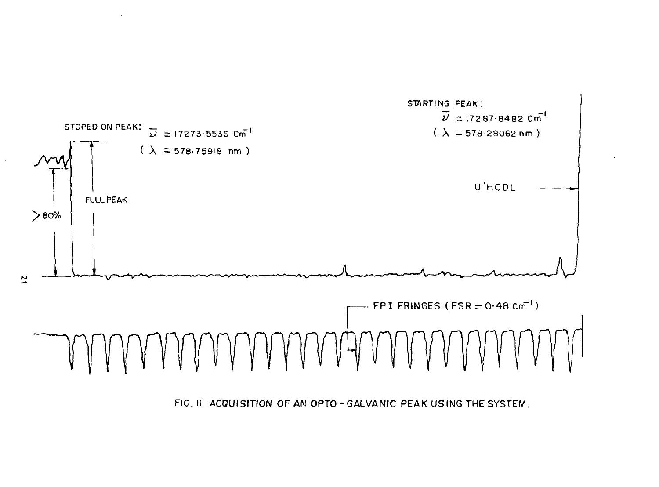

FIG. II ACQUISITION OF AM OPTO-GALVANIC PEAK USING THE SYSTEM.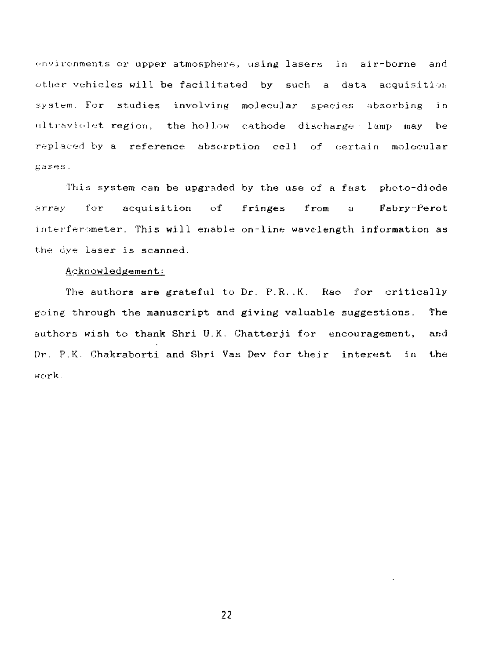environments or upper atmosphere, using lasers in air-borne and other vehicles will be facilitated by such a data acquisitioii system. For studies involving molecular species absorbing in ultraviolet region, the hollow cathode discharge lamp may be replaced by a reference absorption cell of certain molecular gases.

This system can be upgraded by the use of a fast photo-diode array for acquisition of fringes from a Fabry-Perot interferometer. This will enable on-line wavelength information as the dye Laser is scanned.

### Acknowledgement:

The authors are grateful to Dr. P.R..K. Rao for critically going through the manuscript and giving valuable suggestions. The authors wish to thank Shri U.K. Chatterji for encouragement, and Dr. P.K. Chakraborti and Shri Vas Dev for their interest in the work.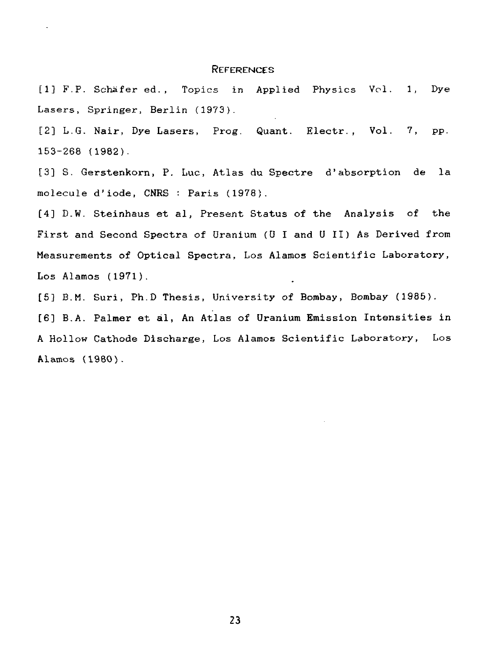#### REFERENCES

[1] F.P. Schafer ed., Topics in Applied Physics Vol. 1, Dye Lasers, Springer, Berlin (1973).

[2] L.G. Nair, Dye Lasers, Prog. Quant. Electr., Vol. 7, pp. 153-268 (1982).

[3] S. Gerstenkorn, P. Luc, Atlas du Spectre d'absorption de la molecule d'iode, CNRS : Paris (1978).

[4] D.W. Steinhaus et al, Present Status of the Analysis of the First and Second Spectra of Uranium (U I and U II) As Derived from Measurements of Optical Spectra, Los Alamos Scientific Laboratory, Los Alamos (1971).

[5] B.M. Suri, Ph.D Thesis, University of Bombay, Bombay (1985).

[6] B.A. Palmer et al, An Atlas of Uranium Emission Intensities in A Hollow Cathode Discharge, Los Alamos Scientific Laboratory, Los Alamos (1980).